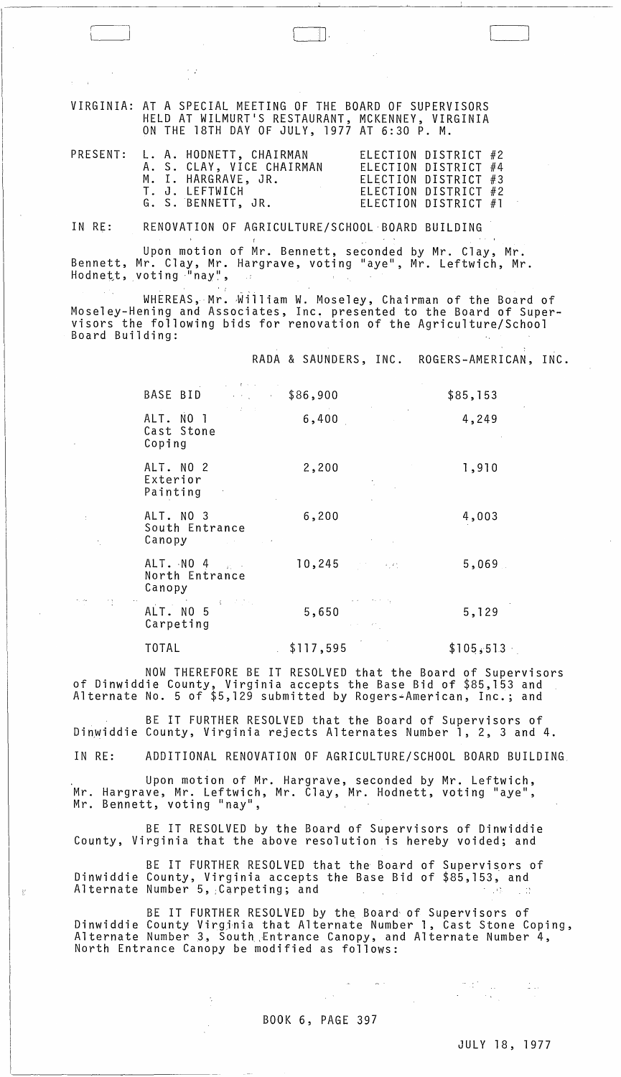VIRGINIA: AT A SPECIAL MEETING OF THE BOARD OF SUPERVISORS HELD AT WILMURT'S RESTAURANT, MCKENNEY, VIRGINIA ON THE 18TH DAY OF JULY, 1977 AT 6:30 P. M.

|  | PRESENT: L. A. HODNETT, CHAIRMAN | ELECTION DISTRICT #2   |  |
|--|----------------------------------|------------------------|--|
|  | A. S. CLAY, VICE CHAIRMAN        | ELECTION DISTRICT #4   |  |
|  | M. I. HARGRAVE, JR.              | ELECTION DISTRICT $#3$ |  |
|  | T. J. LEFTWICH                   | ELECTION DISTRICT #2   |  |
|  | G. S. BENNETT, JR.               | ELECTION DISTRICT #1   |  |

IN RE: RENOVATION OF AGRICULTURE/SCHOOL'BOARD BUILDING

Upon motion of Mr. Bennett, seconded by Mr. Clay, Mr. Bennett, Mr. Clay, Mr. Hargrave, voting "aye", Mr. Leftwich, Mr. Hodnett, voting "nay",  $\sim$  1

WHEREAS, Mr. William W. Moseley, Chairman of the Board of Moseley-Hening and Associates, Inc. presented to the Board of Supervisors the following bids for renovation of the Agriculture/School<br>Board Building:

RADA & SAUNDERS, INC. ROGERS-AMERICAN, INC.

 $\Box$ 

| and the Room and<br>BASE BID \$86,900                                                                                                                                                                                                                                                                                                                                          |       |                                                                                                                                                                     | \$85,153 |
|--------------------------------------------------------------------------------------------------------------------------------------------------------------------------------------------------------------------------------------------------------------------------------------------------------------------------------------------------------------------------------|-------|---------------------------------------------------------------------------------------------------------------------------------------------------------------------|----------|
| $\mathcal{L}^{\mathcal{L}}(\mathcal{L}^{\mathcal{L}})$ , $\mathcal{L}^{\mathcal{L}}(\mathcal{L}^{\mathcal{L}})$ , and<br>ALT. NO 1<br>Cast Stone<br>Coping                                                                                                                                                                                                                     | 6,400 | and the state of the state of<br>$\mathcal{L}^{\mathcal{L}}(\mathcal{L}^{\mathcal{L}})$ and $\mathcal{L}^{\mathcal{L}}(\mathcal{L}^{\mathcal{L}})$ . In the case of | 4,249    |
| ALT. NO 2<br>Exterior<br>Painting                                                                                                                                                                                                                                                                                                                                              | 2,200 |                                                                                                                                                                     | 1,910    |
| ALT. NO 3<br>South Entrance<br>Canopy in the contract of the contract of the contract of the contract of the contract of the contract of the                                                                                                                                                                                                                                   | 6,200 | and the company                                                                                                                                                     | 4,003    |
| ALT. NO 4<br>North Entrance<br>Canopy                                                                                                                                                                                                                                                                                                                                          |       | 10,245                                                                                                                                                              | 5,069    |
| $\label{eq:2.1} \mathcal{L}_{\mathcal{A}} = \mathcal{L}_{\mathcal{A}} \left( \mathcal{L}_{\mathcal{A}} \right) \mathcal{L}_{\mathcal{A}} + \mathcal{L}_{\mathcal{A}} \left( \mathcal{L}_{\mathcal{A}} \right) \mathcal{L}_{\mathcal{A}} \left( \mathcal{L}_{\mathcal{A}} \right) \mathcal{L}_{\mathcal{A}} \left( \mathcal{L}_{\mathcal{A}} \right)$<br>ALT. NO 5<br>Carpeting | 5,650 | $\mathcal{L}_{\mathcal{A}}$ , and the set of the state $\mathcal{L}_{\mathcal{A}}$                                                                                  | 5,129    |

TOTAL \$117,595 \$105,513

NOW THEREFORE BE IT RESOLVED that the Board of Supervisors of Dinwiddie County, Virginia accepts the Base Bid of \$85,153 and Alternate No.5 of \$5,129 submitted by Rogers~American, Inc.; and

BE IT FURTHER RESOLVED that the Board of Supervisors of Dinwiddie County, Virginia rejects Alternates Number 1, 2, 3 and 4.

IN RE: ADDITIONAL RENOVATION OF AGRICULTURE/SCHOOL BOARD BUILDING.

Upon motion of Mr. Hargrave, seconded by Mr. Leftwich, Mr. Hargrave, Mr. Leftwich, Mr. Clay, Mr. Hodnett, voting "aye",<br>Mr. Bennett, voting "nay",

BE IT RESOLVED by the Board of Supervisors of Dinwiddie County, Virginia that the *above* resolution is hereby *voided;* and

BE IT FURTHER RESOLVED that the Board of Supervisors of Dinwiddie County, Virginia accepts the Base Bid of \$85,153, and Mr. Bennett, voting "nay",<br>BE IT RESOLVED by the Board of Supervisors of Dinwiddie<br>County, Virginia that the above resolution is hereby voided; and<br>BE IT FURTHER RESOLVED that the Board of Supervisors of<br>Dinwiddie County,

BE IT FURTHER RESOLVED by the Board of Supervisors of Dinwiddie County Virginia that Alternate Number 1, Cast Stone Coping, Alternate Number 3, South Entrance Canopy, and Alternate Number 4, North Entrance Canopy be modified as follows:

BOOK 6, PAGE 397

 $\Delta \sim 10^{-10}$ 

JULY 18, 1977

 $\label{eq:2} \begin{split} \mathcal{L}_{\text{max}}(\mathbf{r}) & = \frac{1}{2} \mathcal{L}_{\text{max}}(\mathbf{r}) \mathcal{L}_{\text{max}}(\mathbf{r}) \\ & = \frac{1}{2} \mathcal{L}_{\text{max}}(\mathbf{r}) \mathcal{L}_{\text{max}}(\mathbf{r}) \mathcal{L}_{\text{max}}(\mathbf{r}) \mathcal{L}_{\text{max}}(\mathbf{r}) \mathcal{L}_{\text{max}}(\mathbf{r}) \mathcal{L}_{\text{max}}(\mathbf{r}) \mathcal{L}_{\text{max}}(\mathbf{r}) \mathcal{L}_{\text{max}}(\mathbf{r}) \math$